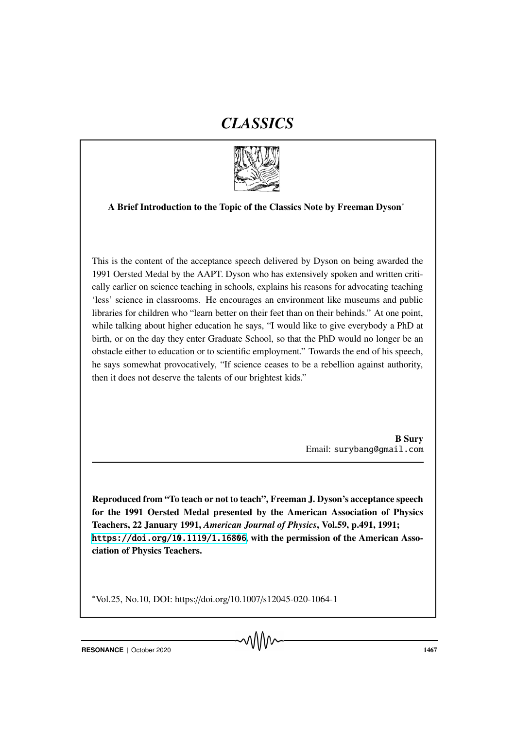

A Brief Introduction to the Topic of the Classics Note by Freeman Dyson<sup>∗</sup>

This is the content of the acceptance speech delivered by Dyson on being awarded the 1991 Oersted Medal by the AAPT. Dyson who has extensively spoken and written critically earlier on science teaching in schools, explains his reasons for advocating teaching 'less' science in classrooms. He encourages an environment like museums and public libraries for children who "learn better on their feet than on their behinds." At one point, while talking about higher education he says, "I would like to give everybody a PhD at birth, or on the day they enter Graduate School, so that the PhD would no longer be an obstacle either to education or to scientific employment." Towards the end of his speech, he says somewhat provocatively, "If science ceases to be a rebellion against authority, then it does not deserve the talents of our brightest kids."

> B Sury Email: surybang@gmail.com

Reproduced from "To teach or not to teach", Freeman J. Dyson's acceptance speech for the 1991 Oersted Medal presented by the American Association of Physics Teachers, 22 January 1991, *American Journal of Physics*, Vol.59, p.491, 1991; <https://doi.org/10.1119/1.16806>, with the permission of the American Association of Physics Teachers.

<sup>∗</sup>Vol.25, No.10, DOI: https://doi.org/10.1007/s12045-020-1064-1

**RESONANCE** | October 2020 **1467 1467**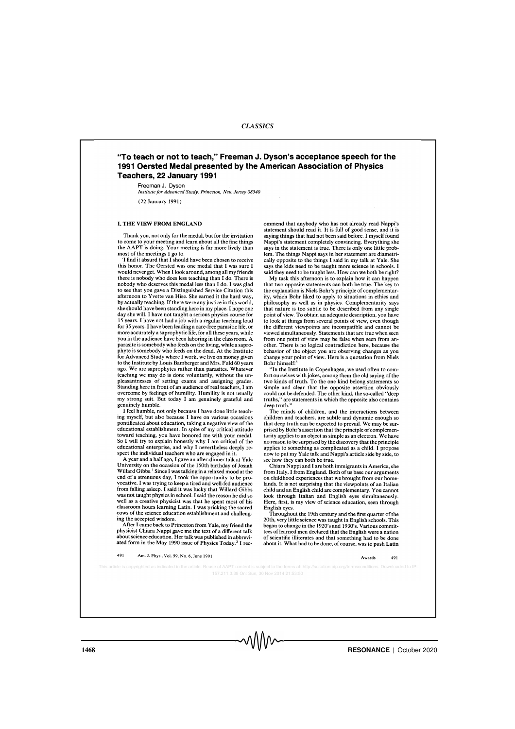# "To teach or not to teach," Freeman J. Dyson's acceptance speech for the 1991 Oersted Medal presented by the American Association of Physics Teachers, 22 January 1991

Freeman J. Dyson

Institute for Advanced Study, Princeton, New Jersey 08540 (22 January 1991)

## I. THE VIEW FROM ENGLAND

Thank you, not only for the medal, but for the invitation to come to your meeting and learn about all the fine things the AAPT is doing. Your meeting is far more lively than most of the meetings I go to.<br>I find it absurd that I should have been chosen to receive

this honor. The Oersted was one medal that I was sure I would never get. When I look around, among all my friends there is nobody who does less teaching than I do. There is<br>nobody who deserves this medal less than I do. I was glad to see that you gave a Distinguished Service Citation this<br>afternoon to Yvette van Hise. She earned it the hard way, by actually teaching. If there were any justice in this world,<br>she should have been standing here in my place. I hope one day she will. I have not taught a serious physics course for<br>15 years. I have not had a job with a regular teaching load For years. That the float and a job with a regular teaching load<br>for 35 years. I have been leading a care-free parasitic life, or<br>more accurately a saprophytic life, for all these years, while you in the audience have been laboring in the classroom. A parasite is somebody who feeds on the living, while a saprophyte is somebody who feeds on the dead. At the Institute for Advanced Study where I work, we live on money given to the Institute by Louis Bamberger and Mrs. Fuld 60 years<br>ago. We are saprophytes rather than parasites. Whatever teaching we may do is done voluntarily, without the unpleasantnesses of setting exams and assigning grades.<br>Standing here in front of an audience of real teachers, I am overcome by feelings of humility. Humility is not usually my strong suit. But today I am genuinely grateful and genuinely humble.

I feel humble, not only because I have done little teaching myself, but also because I have on various occasions<br>pontificated about education, taking a negative view of the educational establishment. In spite of my critical attitude<br>toward teaching, you have honored me with your medal. So I will try to explain honestly why I am critical of the educational enterprise, and why I nevertheless deeply respect the individual teachers who are engaged in it.<br>A year and a half ago, I gave an after-dinner talk at Yale

University on the occasion of the 150th birthday of Josiah<br>Willard Gibbs.<sup>1</sup> Since I was talking in a relaxed mood at the end of a strenuous day, I took the opportunity to be pro-<br>vocative. I was trying to keep a tired and well-fed audience<br>from falling asleep. I said it was lucky that Willard Gibbs was not taught physics in school. I said the reason he did so well as a creative physicist was that he spent most of his classroom hours learning Latin. I was pricking the sacred cows of the science education establishment and challenging the accepted wisdom

After I came back to Princeton from Yale, my friend the physicist Chiara Nappi gave me the text of a different talk<br>about science education. Her talk was published in abbrevi-<br>ated form in the May 1990 issue of Physics Today.<sup>2</sup> I rec-

491 Am. J. Phys., Vol. 59, No. 6, June 1991 ommend that anybody who has not already read Nappi's statement should read it. It is full of good sense, and it is<br>saying things that had not been said before. I myself found Nappi's statement completely convincing. Everything she<br>says in the statement is true. There is only one little problem. The things Nappi says in her statement are diametrically opposite to the things I said in my talk at Yale. She says the kids need to be taught more science in schools. I<br>said they need to be taught less. How can we both be right?

My task this afternoon is to explain how it can happen<br>that two opposite statements can both be true. The key to the explanation is Niels Bohr's principle of complementarity, which Bohr liked to apply to situations in ethics and philosophy as well as in physics. Complementarity says<br>that nature is too subtle to be described from any single point of view. To obtain an adequate description, you have<br>to look at things from several points of view, even though the different viewpoints are incompatible and cannot be<br>viewed simultaneously. Statements that are true when seen from one point of view may be false when seen from another. There is no logical contradiction here, because the behavior of the object you are observing changes as you<br>change your point of view. Here is a quotation from Niels Bohr himself:

'In the Institute in Copenhagen, we used often to comfort ourselves with jokes, among them the old saying of the<br>two kinds of truth. To the one kind belong statements so simple and clear that the opposite assertion obviously<br>could not be defended. The other kind, the so-called "deep truths," are statements in which the opposite also contains deep truth."

The minds of children, and the interactions between children and teachers, are subtle and dynamic enough so that deep truth can be expected to prevail. We may be sur-<br>prised by Bohr's assertion that the principle of complementarity applies to an object as simple as an electron. We have no reason to be surprised by the discovery that the principle applies to something as complicated as a child. I propose<br>now to put my Yale talk and Nappi's article side by side, to see how they can both be true.

Chiara Nappi and I are both immigrants in America, she<br>from Italy, I from England. Both of us base our arguments on childhood experiences that we brought from our homelands. It is not surprising that the viewpoints of an Italian child and an English child are complementary. You cannot look through Italian and English eyes simultaneously. Here, first, is my view of science education, seen through English eyes.

Throughout the 19th century and the first quarter of the 20th, very little science was taught in English schools. This began to change in the 1920's and 1930's. Various committees of learned men declared that the English were a nation of scientific illiterates and that something had to be done about it. What had to be done, of course, was to push Latin

#### Awards

491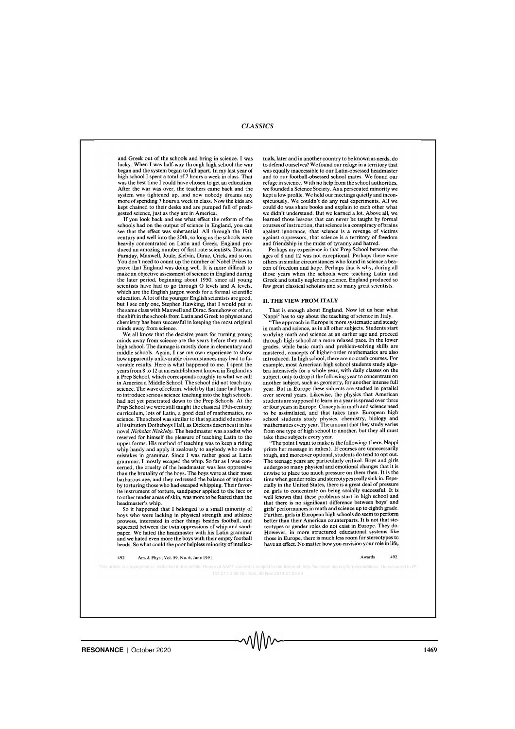and Greek out of the schools and bring in science. I was and Orean I was half-way through high school the war<br>lucky. When I was half-way through high school the war<br>began and the system began to fall apart. In my last year of<br>high school I spent a total of 7 hours a week in clas After the war was over, the teachers came back and the system was tightened up, and now nobody dreams any<br>more of spending 7 hours a week in class. Now the kids are<br>kept chained to their desks and are pumped full of predigested science, just as they are in America

If you look back and see what effect the reform of the in you can conce in England, you can<br>see that the effect was substantial. All through the 19th<br>see that the effect was substantial. All through the 19th century and well into the 20th, so long as the schools were<br>heavily concentrated on Latin and Greek, England produced an amazing number of first-rate scientists, Darwin,<br>Faraday, Maxwell, Joule, Kelvin, Dirac, Crick, and so on. You don't need to count up the number of Nobel Prizes to prove that England was doing well. It is more difficult to make an objective assessment of science in England during<br>the later period, beginning about 1950, since all young scientists have had to go through O levels and A levels,<br>which are the English jargon words for a formal scientific when a c un Lugarian jargon words for hypothesis are good,<br>but I see only one, Stephen Hawking, that I would put in<br>the same class with Maxwell and Dirac. Somehow or other, the shift in the schools from Latin and Greek to physics and chemistry has been successful in keeping the most original minds away from science.

We all know that the decisive years for turning young minds away from science are the years before they reach minus away in our science are the years before they reach<br>high school. The damage is mostly done in elementary and<br>middle schools. Again, I use my own experience to show<br>how apparently unfavorable circumstances may lead to years from 8 to 12 at an establishment known in England as<br>a Prep School, which corresponds roughly to what we call in America a Middle School. The school did not teach any<br>science. The wave of reform, which by that time had begun to introduce serious science teaching into the high schools,<br>had not yet penetrated down to the Prep Schools. At the had not yellow the dealer all taught the classical 19th-century<br>Prep School we were still taught the classical 19th-century<br>curriculum, lots of Latin, a good deal of mathematics, no<br>science. The school was similar to that novel Nicholas Nickleby. The headmaster was a sadist who reserved for himself the pleasure of teaching Latin to the upper forms. His method of teaching was to keep a riding<br>whip handy and apply it zealously to anybody who made mistakes in grammar. Since I was rather good at Latin missions in grammar. J mostly escaped the whip. So far as I was concerned, the cruelty of the headmaster was less oppressive than the brutality of the boys. The boys were at their most<br>barbarous age, and they redressed the balance of injustice by torturing those who had escaped whipping. Their favor-<br>ite instrument of torture, sandpaper applied to the face or to other tender areas of skin, was more to be feared than the headmaster's whip.

So it happened that I belonged to a small minority of So in appenent unar 1 betoniged to a sinal miniority or<br>boys who were lacking in physical strength and athletic<br>prowess, interested in other things besides football, and<br>squeezed between the twin oppressions of whip and sa

Am. J. Phys., Vol. 59, No. 6, June 1991

tuals, later and in another country to be known as nerds, do to defend ourselves? We found our refuge in a territory that was equally inaccessible to our Latin-obsessed headmaster and to our football-obsessed school mates. We found our and co our rootom-rootsseed sensor reality. The reduce in science. With no help from the school authorities, we founded a Science Society. As a persecuted minority we kept a low profile. We held our meetings quietly and in spicuously. We couldn't do any real experiments. All we<br>could do was share books and explain to each other what we didn't understand. But we learned a lot. Above all, we learned those lessons that can never be taught by formal courses of instruction, that science is a conspiracy of brains against ignorance, that science is a revenge of victims equinst oppressors, that science is a territory of freedom<br>and friendship in the midst of tyranny and hatred.

Perhaps my experience in that Prep School between the<br>ages of 8 and 12 was not exceptional. Perhaps there were<br>others in similar circumstances who found in science a beacon of freedom and hope. Perhaps that is why, during all those years when the schools were teaching Latin and<br>Greek and totally neglecting science, England produced so few great classical scholars and so many great scientists.

## **IL THE VIEW FROM ITALY**

That is enough about England. Now let us hear what Nappi<sup>2</sup> has to say about the teaching of science in Italy.

"The approach in Europe is more systematic and steady<br>in math and science, as in all other subjects. Students start studying math and science at an earlier age and proceed<br>through high school at a more relaxed pace. In the lower andes, while basic math and problem-solving skills are<br>mastered, concepts of higher-order mathematics are also introduced. In high school, there are no crash courses. For example, most American high school students study algecample, most character and any according term intensively for a whole year, with daily classes on the subject, only to drop it the following year to concentrate on another subject, such as geometry, for another intense ful over several years. Likewise, the physics that American students are supposed to learn in a year is spread over three or four years in Europe. Concepts in math and science need<br>to be assimilated, and that takes time. European high school students study physics, chemistry, biology and<br>mathematics every year. The amount that they study varies maintained the property year.<br>
from one type of high school to another, but they all must<br>
take these subjects every year.<br>
"The point I want to make is the following: (here, Nappi

This her message in italics). If courses are unnecessarily<br>tough, and moreover optional, students do tend to opt out. The teenage years are particularly critical. Boys and girls<br>undergo so many physical and emotional changes that it is unwise to place too much pressure on them then. It is the<br>time when gender roles and stereotypes really sink in. Espeend when grant deal of pressure of cally in the United States, there is a great deal of pressure<br>on girls to concentrate on being socially successful. It is<br>well known that these problems start in high school and<br>that ther girls' performances in math and science up to eighth grade. Further, girls in European high schools do seem to perform<br>better than their American counterparts. It is not that stebecome main than the relation of exist in Europe. They do.<br>However, in more structured educational systems like those in Europe, there is much less room for stereotypes to<br>have an effect. No matter how you envision your role in life,

#### Awards

492

RESONANCE | October 2020 **1469** 15 **1469** 15 **1469** 15 **1469** 15 **1469** 

 $402$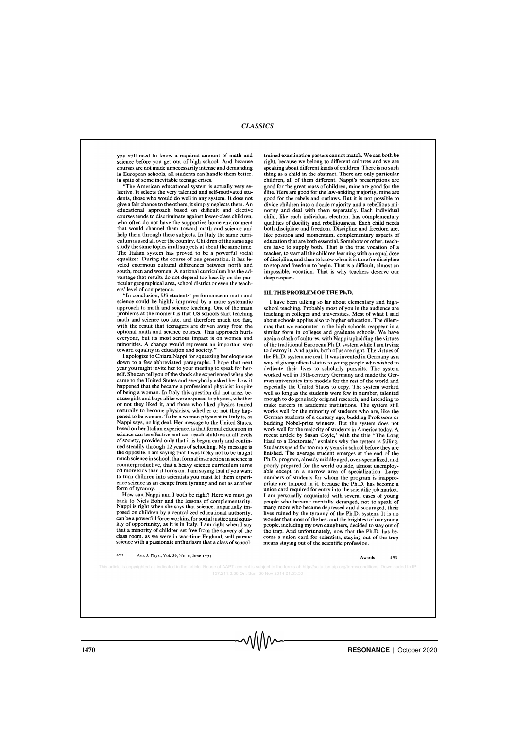you still need to know a required amount of math and science before you get out of high school. And because<br>courses are not made unnecessarily intense and demanding in European schools, all students can handle them better in European senools, an statement can have

"The American educational system is actually very se-<br>lective. It selects the very talented and self-motivated students, those who would do well in any system. It does not give a fair chance to the others; it simply neglects them. An educational approach based on difficult and elective courses tends to discriminate against lower-class children, who often do not have the supportive home environment<br>that would channel them toward math and science and help them through these subjects. In Italy the same curri-<br>culum is used all over the country. Children of the same age study the same topics in all subjects at about the same time.<br>The Italian system has proved to be a powerful social equalizer. During the course of one generation, it has leveled enormous cultural differences between north and south, men and women. A national curriculum has the advantage that results do not depend too heavily on the particular geographical area, school district or even the teachers' level of competence.

"In conclusion, US students' performance in math and<br>science could be highly improved by a more systematic supproach to math and science teaching. One of the main<br>problems at the moment is that US schools start teaching math and science too late, and therefore much too fast,<br>with the result that teenagers are driven away from the optional math and science courses. This approach hurts<br>everyone, but its most serious impact is on women and minorities. A change would represent an important step<br>toward equality in education and society."

I application and society.<br>
I application and society.<br>
I application of the absorption of the example of the method<br>
down to a few abstreviated paragraphs. I hope that next<br>
year you might invite her to your meeting to sp came to the United States and everybody asked her how it<br>happened that she became a professional physicist in spite of being a woman. In Italy this question did not arise, because girls and boys alike were exposed to physics, whether For a proposed proposed proposed proposed by the proposed proposed attend to be women. To be a woman physicist in Italy is, as Nappi says, no big deal. Her message to the United States, based on her Italian experience, is that formal education in science can be effective and can reach children at all levels of society, provided only that it is begun early and continued steadily through 12 years of schooling. My message is the opposite. I am saying that I was lucky not to be taught much science in school, that formal instruction in science is counterproductive, that a heavy science curriculum turns of more kids than it turns on. I am saying that if you want to turn children into scientists you must let them experience science as an escape from tyranny and not as another form of tyranny.

How can Nappi and I both be right? Here we must go back to Niels Bohr and the lessons of complementarity. Nappi is right when she says that science, impartially imposed on children by a centralized educational authority, provided a powerful force working for social justice and equa-<br>lity of opportunity, as it is in Italy. I am right when I say<br>that a minority of children set free from the slavery of the class room, as we were in war-time England, will pursue<br>science with a passionate enthusiasm that a class of school-

Am. J. Phys., Vol. 59, No. 6, June 1991

trained examination passers cannot match. We can both be right, because we belong to different cultures and we are<br>speaking about different kinds of children. There is no such thing as a child in the abstract. There are only particular<br>children, all of them different. Nappi's prescriptions are sood for the great mass of children, mine are good for the<br>effitte. Hers are good for the law-abiding majority, mine are good for the rebels and outlaws. But it is not possible to divide children into a docile majority and a rebellious minority and deal with them separately. Each individual<br>child, like each individual electron, has complementary qualities of docility and rebelliousness. Each child needs both discipline and freedom. Discipline and freedom are. like position and momentum, complementary aspects of<br>education that are both essential. Somehow or other, teacheach and are boursely and the control of a tender of the rest have to supply both. That is the true vocation of a teacher, to start all the children learning with an equal dose of discipline, and then to know when it is ti impossible, vocation. That is why teachers deserve our deep respect.

## **III. THE PROBLEM OF THE Ph.D.**

I have been talking so far about elementary and high-I are veen amains to rain avoid the minimum of the audience are<br>teaching in colleges and universities. Most of what I said about schools applies also to higher education. The dilemmas that we encounter in the high schools reappear in a<br>similar form in colleges and graduate schools. We have<br>again a clash of cultures, with Nappi upholding the virtues of the traditional European Ph.D. system while I am trying to destroy it. And again, both of us are right. The virtues of the Ph.D. system are real. It was invented in Germany as a the Ph.D. system are real. It was invented in Germany as a<br>way of giving official status to young people who wished to<br>dedicate their lives to scholarly pursuits. The system<br>worked well in 19th-century Germany and made the enough to do genuinely original research, and intending to make careers in academic institutions. The system still<br>works well for the minority of students who are, like the German students of a century ago, budding Professors or<br>budding Nobel-prize winners. But the system does not statement of the majority of students in America today. A<br>work well for the majority of students in America today. A<br>recent article by Susan Coyle,<sup>4</sup> with the title "The Long<br>Haul to a Doctorate," explains why the system finished. The average student emerges at the end of the Ph.D. program, already middle aged, over-specialized, and poorly prepared for the world outside, almost unemploy-<br>able except in a narrow area of specialization. Large numbers of students for whom the program is inappro-<br>priate are trapped in it, because the Ph.D. has become a union card required for entry into the scientific job market.<br>I am personally acquainted with several cases of young people who became mentally deranged, not to speak of many more who became depressed and discouraged, their lives ruined by the tyranny of the Ph.D. system. It is no<br>wonder that most of the best and the brightest of our young people, including my own daughters, decided to stay out of the trap. And unfortunately, now that the Ph.D. has become a union card for scientists, staying out of the trap means staying out of the scientific profession.

#### Awards

493

493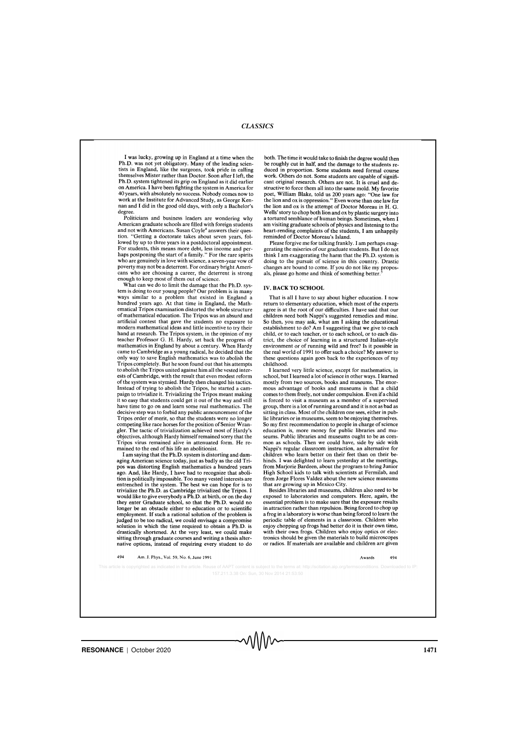I was lucky, growing up in England at a time when the The maximum are at the behind of the leading scientific Ph.D. was not yet obligatory. Many of the leading scientists in England, like the surgeons, took pride in calling themselves Mister rather than Doctor. Soon after I l Ph.D. system tightened its grip on England as it did earlier<br>on America. I have been fighting the system in America for 40 years, with absolutely no success. Nobody comes now to<br>40 years, with absolutely no success. Nobody comes now to<br>work at the Institute for Advanced Study, as George Kennan and I did in the good old days, with only a Bachelor's degree

Politicians and business leaders are wondering why American graduate schools are filled with foreign students and not with Americans. Susan Coyle<sup>4</sup> answers their ques tion "Getting a doctorate takes about seven years, followed by up to three years in a postdoctoral appointment. For students, this means more debt, less income and perhaps postponing the start of a family." For the rare spirits who are genuinely in love with science, a seven-year yow of poverty may not be a deterrent. For ordinary bright Americans who are choosing a career, the deterrent is strong<br>enough to keep most of them out of science.

What can we do to limit the damage that the Ph.D. syswhat can we do to finit the damage that the Ph.D. system is doing to our young people? Our problem is in many<br>ways similar to a problem that existed in England a<br>hundred years ago. At that time in England, the Math-<br>ematic of mathematical education. The Tripos was an absurd and artificial contest that gave the students no exposure to<br>modern mathematical ideas and little incentive to try their hand at research. The Tripos system, in the opinion of my<br>teacher Professor G. H. Hardy, set back the progress of<br>mathematics in England by about a century. When Hardy came to Cambridge as a young radical, he decided that the<br>only way to save English mathematics was to abolish the Tripos completely. But he soon found out that his attempts to abolish the Tripos united against him all the vested interto about the Tripos united against min an the vested inter-<br>ests of Cambridge, with the result that even modest reform<br>of the system was stymied. Hardy then changed his tactics. Instead of trying to abolish the Tripos, he started a campaign to trivialize it. Trivializing the Tripos meant making it so easy that students could get it out of the way and still<br>have time to go on and learn some real mathematics. The decisive step was to forbid any public announcement of the Tripos order of merit, so that the students were no longer competing like race horses for the position of Senior Wrangler. The tactic of trivialization achieved most of Hardy's objectives, although Hardy himself remained sorry that the Tripos virus remained alive in attenuated form. He remained to the end of his life an abolitionist.<br>I am saying that the Ph.D. system is distorting and dam-

aging American science today, just as badly as the old Tripos was distorting English mathematics a hundred years pos was usually engines a numerator and an expected and a set and to recognize that abolition is politically impossible. Too many vested interests are entrenched in the system. The best we can hope for is to trivialize the they enter Graduate school, so that the Ph.D. would no<br>longer be an obstacle either to education or to scientific employment. If such a rational solution of the problem is<br>judged to be too radical, we could envisage a compromise solution in which the time required to obtain a Ph.D. is<br>drastically shortened. At the very least, we could make sitting through graduate courses and writing a thesis alternative options, instead of requiring every student to do

Am. J. Phys., Vol. 59, No. 6, June 1991

both. The time it would take to finish the degree would then be roughly cut in half, and the damage to the students re-<br>duced in proportion. Some students need formal course<br>work. Others do not. Some students are capable of signifi-<br>cant original research. Others are not. It is crue structive to force them all into the same mold. My favorite<br>poet, William Blake, told us 200 years ago: "One law for<br>the lion and ox is oppression." Even worse than one law for<br>the lion and ox is the attempt of Doctor More Wells' story to chop both lion and ox by plastic surgery into<br>a tortured semblance of human beings. Sometimes, when I am visiting graduate schools of physics and listening to the<br>heart-rending complaints of the students, I am unhappily reminded of Doctor Moreau's Island.

Please forgive me for talking frankly. I am perhaps exaggerating the miseries of our graduate students. But I do not<br>think I am exaggerating the harm that the Ph.D. system is think I am exaggerating the harm that the Ph.D. system is<br>doing to the pursuit of science in this country. Drastic<br>changes are bound to come. If you do not like my proposals, please go home and think of something better.

#### **IV. BACK TO SCHOOL**

That is all I have to say about higher education. I now Figure is an 1 marc to say about agency education. Which most of the experts<br>agree is at the root of our difficulties. I have said that our children need both Nappi's suggested remedies and mine. So then, you may ask, what am I asking the educational establishment to do? Am I suggesting that we give to each child, or to each teacher, or to each school, or to each district, the choice of learning in a structured Italian-style environment or of running wild and free? Is it possible in<br>the real world of 1991 to offer such a choice? My answer to these questions again goes back to the experiences of my childhood.

I learned very little science, except for mathematics, in school, but I learned a lot of science in other ways. I learned mostly from two sources, books and museums. The enormous advantage of books and museums is that a child comes to them freely, not under compulsion. Even if a child is forced to visit a museum as a member of a supervised<br>group, there is a lot of running around and it is not as bad as sitting in class. Most of the children one sees, either in public libraries or in museums, seem to be enjoying themselves. For the interaction of the commendation to people in charge of science<br>So my first recommendation to people in charge of science<br>education is, more money for public libraries and mu-<br>seums. Public libraries and museums oug Nappi's regular classroom instruction, an alternative for<br>children who learn better on their feet than on their bebinds. I was delighted to learn yesterday at the meetings,<br>from Marjorie Bardeen, about the program to bring Junior<br>High School kids to talk with scientists at Fermilab, and Fight School Kids to talk with scientists at Ferninao, and<br>from Jorge Flores Valdez about the new science museums<br>that are growing up in Mexico City.

that are given in the measured control of the exposed to laboratories and museums, children also need to be exposed to laboratories and computers. Here, again, the essential problem is to make sure that the exposure results<br>in attraction rather than repulsion. Being forced to chop up a frog in a laboratory is worse than being forced to learn the<br>periodic table of elements in a classroom. Children who exposure teater of venteriors in a cussosomic emitted with their own time,<br>with their own frogs. Children who enjoy optics or electronics should be given the materials to build microscopes or radios. If materials are available and children are given

#### Awards

 $404$ 

**RESONANCE** | October 2020 **1471 1471**